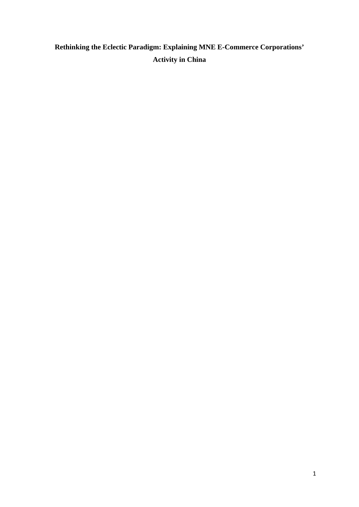# **Rethinking the Eclectic Paradigm: Explaining MNE E-Commerce Corporations' Activity in China**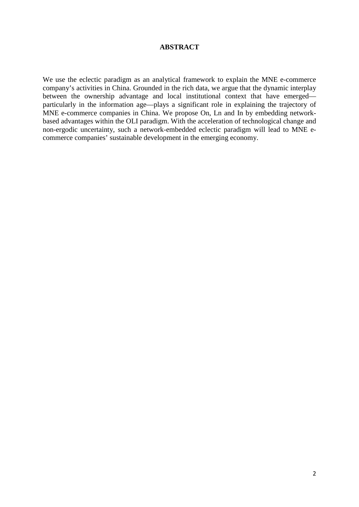# **ABSTRACT**

We use the eclectic paradigm as an analytical framework to explain the MNE e-commerce company's activities in China. Grounded in the rich data, we argue that the dynamic interplay between the ownership advantage and local institutional context that have emerged particularly in the information age—plays a significant role in explaining the trajectory of MNE e-commerce companies in China. We propose On, Ln and In by embedding networkbased advantages within the OLI paradigm. With the acceleration of technological change and non-ergodic uncertainty, such a network-embedded eclectic paradigm will lead to MNE ecommerce companies' sustainable development in the emerging economy.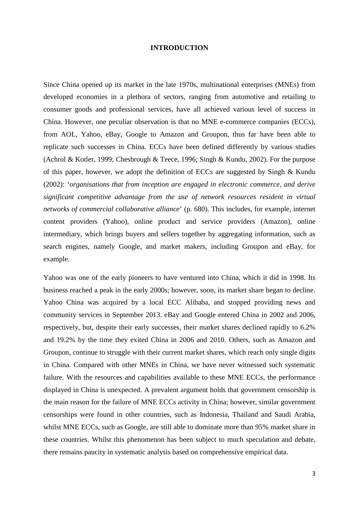#### **INTRODUCTION**

Since China opened up its market in the late 1970s, multinational enterprises (MNEs) from developed economies in a plethora of sectors, ranging from automotive and retailing to consumer goods and professional services, have all achieved various level of success in China. However, one peculiar observation is that no MNE e-commerce companies (ECCs), from AOL, Yahoo, eBay, Google to Amazon and Groupon, thus far have been able to replicate such successes in China. ECCs have been defined differently by various studies (Achrol & Kotler, 1999; Chesbrough & Teece, 1996; Singh & Kundu, 2002). For the purpose of this paper, however, we adopt the definition of ECCs are suggested by Singh & Kundu (2002): '*organisations that from inception are engaged in electronic commerce, and derive significant competitive advantage from the use of network resources resident in virtual networks of commercial collaborative alliance*' (p. 680). This includes, for example, internet content providers (Yahoo), online product and service providers (Amazon), online intermediary, which brings buyers and sellers together by aggregating information, such as search engines, namely Google, and market makers, including Groupon and eBay, for example.

Yahoo was one of the early pioneers to have ventured into China, which it did in 1998. Its business reached a peak in the early 2000s; however, soon, its market share began to decline. Yahoo China was acquired by a local ECC Alibaba, and stopped providing news and community services in September 2013. eBay and Google entered China in 2002 and 2006, respectively, but, despite their early successes, their market shares declined rapidly to 6.2% and 19.2% by the time they exited China in 2006 and 2010. Others, such as Amazon and Groupon, continue to struggle with their current market shares, which reach only single digits in China. Compared with other MNEs in China, we have never witnessed such systematic failure. With the resources and capabilities available to these MNE ECCs, the performance displayed in China is unexpected. A prevalent argument holds that government censorship is the main reason for the failure of MNE ECCs activity in China; however, similar government censorships were found in other countries, such as Indonesia, Thailand and Saudi Arabia, whilst MNE ECCs, such as Google, are still able to dominate more than 95% market share in these countries. Whilst this phenomenon has been subject to much speculation and debate, there remains paucity in systematic analysis based on comprehensive empirical data.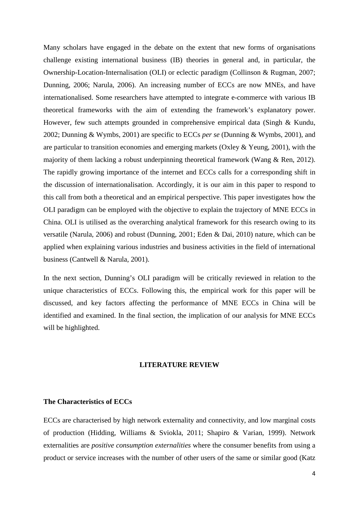Many scholars have engaged in the debate on the extent that new forms of organisations challenge existing international business (IB) theories in general and, in particular, the Ownership-Location-Internalisation (OLI) or eclectic paradigm (Collinson & Rugman, 2007; Dunning, 2006; Narula, 2006). An increasing number of ECCs are now MNEs, and have internationalised. Some researchers have attempted to integrate e-commerce with various IB theoretical frameworks with the aim of extending the framework's explanatory power. However, few such attempts grounded in comprehensive empirical data (Singh & Kundu, 2002; Dunning & Wymbs, 2001) are specific to ECCs *per se* (Dunning & Wymbs, 2001), and are particular to transition economies and emerging markets (Oxley  $&$  Yeung, 2001), with the majority of them lacking a robust underpinning theoretical framework (Wang & Ren, 2012). The rapidly growing importance of the internet and ECCs calls for a corresponding shift in the discussion of internationalisation. Accordingly, it is our aim in this paper to respond to this call from both a theoretical and an empirical perspective. This paper investigates how the OLI paradigm can be employed with the objective to explain the trajectory of MNE ECCs in China. OLI is utilised as the overarching analytical framework for this research owing to its versatile (Narula, 2006) and robust [\(Dunning, 2001;](#page-29-0) [Eden & Dai, 2010\)](#page-30-0) nature, which can be applied when explaining various industries and business activities in the field of international business [\(Cantwell & Narula, 2001\)](#page-29-1).

In the next section, Dunning's OLI paradigm will be critically reviewed in relation to the unique characteristics of ECCs. Following this, the empirical work for this paper will be discussed, and key factors affecting the performance of MNE ECCs in China will be identified and examined. In the final section, the implication of our analysis for MNE ECCs will be highlighted.

#### **LITERATURE REVIEW**

## **The Characteristics of ECCs**

ECCs are characterised by high network externality and connectivity, and low marginal costs of production (Hidding, Williams & Sviokla, 2011; Shapiro & Varian, 1999). Network externalities are *positive consumption externalities* where the consumer benefits from using a product or service increases with the number of other users of the same or similar good (Katz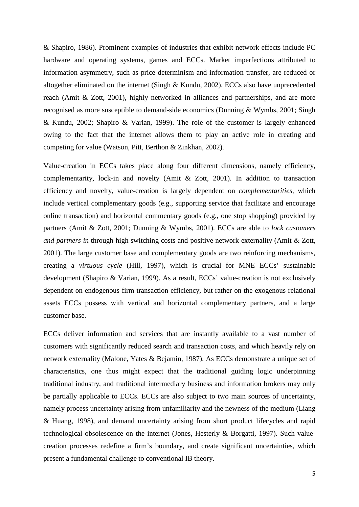& Shapiro, 1986). Prominent examples of industries that exhibit network effects include PC hardware and operating systems, games and ECCs. Market imperfections attributed to information asymmetry, such as price determinism and information transfer, are reduced or altogether eliminated on the internet (Singh & Kundu, 2002). ECCs also have unprecedented reach (Amit & Zott, 2001), highly networked in alliances and partnerships, and are more recognised as more susceptible to demand-side economics (Dunning & Wymbs, 2001; Singh & Kundu, 2002; Shapiro & Varian, 1999). The role of the customer is largely enhanced owing to the fact that the internet allows them to play an active role in creating and competing for value (Watson, Pitt, Berthon & Zinkhan, 2002).

Value-creation in ECCs takes place along four different dimensions, namely efficiency, complementarity, lock-in and novelty (Amit & Zott, 2001). In addition to transaction efficiency and novelty, value-creation is largely dependent on *complementarities*, which include vertical complementary goods (e.g., supporting service that facilitate and encourage online transaction) and horizontal commentary goods (e.g., one stop shopping) provided by partners (Amit & Zott, 2001; Dunning & Wymbs, 2001). ECCs are able to *lock customers and partners in* through high switching costs and positive network externality (Amit & Zott, 2001). The large customer base and complementary goods are two reinforcing mechanisms, creating a *virtuous cycle* (Hill, 1997), which is crucial for MNE ECCs' sustainable development (Shapiro & Varian, 1999). As a result, ECCs' value-creation is not exclusively dependent on endogenous firm transaction efficiency, but rather on the exogenous relational assets ECCs possess with vertical and horizontal complementary partners, and a large customer base.

ECCs deliver information and services that are instantly available to a vast number of customers with significantly reduced search and transaction costs, and which heavily rely on network externality (Malone, Yates & Bejamin, 1987). As ECCs demonstrate a unique set of characteristics, one thus might expect that the traditional guiding logic underpinning traditional industry, and traditional intermediary business and information brokers may only be partially applicable to ECCs. ECCs are also subject to two main sources of uncertainty, namely process uncertainty arising from unfamiliarity and the newness of the medium (Liang & Huang, 1998), and demand uncertainty arising from short product lifecycles and rapid technological obsolescence on the internet (Jones, Hesterly & Borgatti, 1997). Such valuecreation processes redefine a firm's boundary, and create significant uncertainties, which present a fundamental challenge to conventional IB theory.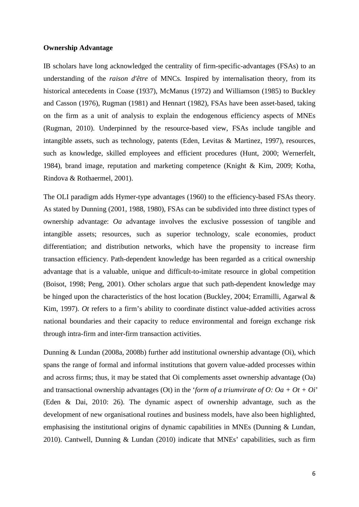#### **Ownership Advantage**

IB scholars have long acknowledged the centrality of firm-specific-advantages (FSAs) to an understanding of the *raison d'être* of MNCs. Inspired by internalisation theory, from its historical antecedents in Coase (1937), McManus (1972) and Williamson (1985) to Buckley and Casson (1976), Rugman (1981) and Hennart (1982), FSAs have been asset-based, taking on the firm as a unit of analysis to explain the endogenous efficiency aspects of MNEs (Rugman, 2010). Underpinned by the resource-based view, FSAs include tangible and intangible assets, such as technology, patents (Eden, Levitas & Martinez, 1997), resources, such as knowledge, skilled employees and efficient procedures (Hunt, 2000; Wernerfelt, 1984), brand image, reputation and marketing competence (Knight & Kim, 2009; Kotha, Rindova & Rothaermel, 2001).

The OLI paradigm adds Hymer-type advantages (1960) to the efficiency-based FSAs theory. As stated by Dunning (2001, 1988, 1980), FSAs can be subdivided into three distinct types of ownership advantage: *Oa* advantage involves the exclusive possession of tangible and intangible assets; resources, such as superior technology, scale economies, product differentiation; and distribution networks, which have the propensity to increase firm transaction efficiency. Path-dependent knowledge has been regarded as a critical ownership advantage that is a valuable, unique and difficult-to-imitate resource in global competition (Boisot, 1998; Peng, 2001). Other scholars argue that such path-dependent knowledge may be hinged upon the characteristics of the host location (Buckley, 2004; Erramilli, Agarwal & Kim, 1997). *Ot* refers to a firm's ability to coordinate distinct value-added activities across national boundaries and their capacity to reduce environmental and foreign exchange risk through intra-firm and inter-firm transaction activities.

Dunning & Lundan (2008a, 2008b) further add institutional ownership advantage (Oi), which spans the range of formal and informal institutions that govern value-added processes within and across firms; thus, it may be stated that Oi complements asset ownership advantage (Oa) and transactional ownership advantages (Ot) in the '*form of a triumvirate of O: Oa + Ot + Oi*' (Eden & Dai, 2010: 26). The dynamic aspect of ownership advantage, such as the development of new organisational routines and business models, have also been highlighted, emphasising the institutional origins of dynamic capabilities in MNEs (Dunning & Lundan, 2010). Cantwell, Dunning & Lundan (2010) indicate that MNEs' capabilities, such as firm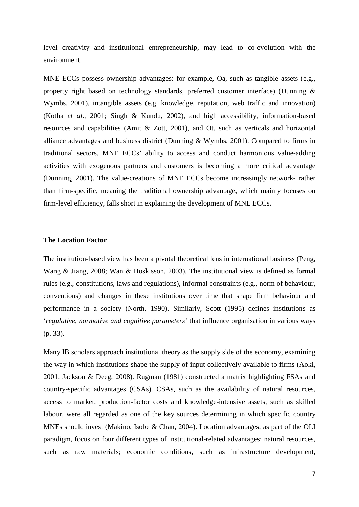level creativity and institutional entrepreneurship, may lead to co-evolution with the environment.

MNE ECCs possess ownership advantages: for example, Oa, such as tangible assets (e.g., property right based on technology standards, preferred customer interface) (Dunning & Wymbs, 2001), intangible assets (e.g. knowledge, reputation, web traffic and innovation) (Kotha *et al*., 2001; Singh & Kundu, 2002), and high accessibility, information-based resources and capabilities (Amit & Zott, 2001), and Ot, such as verticals and horizontal alliance advantages and business district (Dunning & Wymbs, 2001). Compared to firms in traditional sectors, MNE ECCs' ability to access and conduct harmonious value-adding activities with exogenous partners and customers is becoming a more critical advantage (Dunning, 2001). The value-creations of MNE ECCs become increasingly network- rather than firm-specific, meaning the traditional ownership advantage, which mainly focuses on firm-level efficiency, falls short in explaining the development of MNE ECCs.

#### **The Location Factor**

The institution-based view has been a pivotal theoretical lens in international business (Peng, Wang & Jiang, 2008; Wan & Hoskisson, 2003). The institutional view is defined as formal rules (e.g., constitutions, laws and regulations), informal constraints (e.g., norm of behaviour, conventions) and changes in these institutions over time that shape firm behaviour and performance in a society (North, 1990). Similarly, Scott (1995) defines institutions as '*regulative, normative and cognitive parameters*' that influence organisation in various ways (p. 33).

Many IB scholars approach institutional theory as the supply side of the economy, examining the way in which institutions shape the supply of input collectively available to firms (Aoki, 2001; Jackson & Deeg, 2008). Rugman (1981) constructed a matrix highlighting FSAs and country-specific advantages (CSAs). CSAs, such as the availability of natural resources, access to market, production-factor costs and knowledge-intensive assets, such as skilled labour, were all regarded as one of the key sources determining in which specific country MNEs should invest (Makino, Isobe & Chan, 2004). Location advantages, as part of the OLI paradigm, focus on four different types of institutional-related advantages: natural resources, such as raw materials; economic conditions, such as infrastructure development,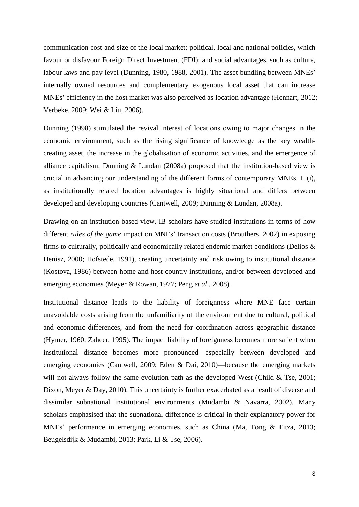communication cost and size of the local market; political, local and national policies, which favour or disfavour Foreign Direct Investment (FDI); and social advantages, such as culture, labour laws and pay level (Dunning, 1980, 1988, 2001). The asset bundling between MNEs' internally owned resources and complementary exogenous local asset that can increase MNEs' efficiency in the host market was also perceived as location advantage (Hennart, 2012; Verbeke, 2009; Wei & Liu, 2006).

Dunning (1998) stimulated the revival interest of locations owing to major changes in the economic environment, such as the rising significance of knowledge as the key wealthcreating asset, the increase in the globalisation of economic activities, and the emergence of alliance capitalism. Dunning & Lundan (2008a) proposed that the institution-based view is crucial in advancing our understanding of the different forms of contemporary MNEs. L (i), as institutionally related location advantages is highly situational and differs between developed and developing countries (Cantwell, 2009; Dunning & Lundan, 2008a).

Drawing on an institution-based view, IB scholars have studied institutions in terms of how different *rules of the game* impact on MNEs' transaction costs (Brouthers, 2002) in exposing firms to culturally, politically and economically related endemic market conditions (Delios & Henisz, 2000; Hofstede, 1991), creating uncertainty and risk owing to institutional distance (Kostova, 1986) between home and host country institutions, and/or between developed and emerging economies (Meyer & Rowan, 1977; Peng *et al*., 2008).

Institutional distance leads to the liability of foreignness where MNE face certain unavoidable costs arising from the unfamiliarity of the environment due to cultural, political and economic differences, and from the need for coordination across geographic distance (Hymer, 1960; Zaheer, 1995). The impact liability of foreignness becomes more salient when institutional distance becomes more pronounced—especially between developed and emerging economies (Cantwell, 2009; Eden & Dai, 2010)—because the emerging markets will not always follow the same evolution path as the developed West (Child  $&$  Tse, 2001; Dixon, Meyer & Day, 2010). This uncertainty is further exacerbated as a result of diverse and dissimilar subnational institutional environments (Mudambi & Navarra, 2002). Many scholars emphasised that the subnational difference is critical in their explanatory power for MNEs' performance in emerging economies, such as China (Ma, Tong & Fitza, 2013; Beugelsdijk & Mudambi, 2013; Park, Li & Tse, 2006).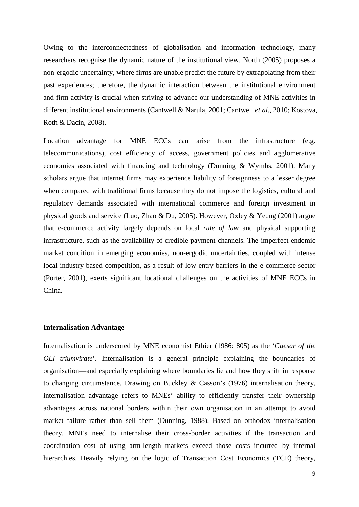Owing to the interconnectedness of globalisation and information technology, many researchers recognise the dynamic nature of the institutional view. North (2005) proposes a non-ergodic uncertainty, where firms are unable predict the future by extrapolating from their past experiences; therefore, the dynamic interaction between the institutional environment and firm activity is crucial when striving to advance our understanding of MNE activities in different institutional environments (Cantwell & Narula, 2001; Cantwell *et al*., 2010; Kostova, Roth & Dacin, 2008).

Location advantage for MNE ECCs can arise from the infrastructure (e.g. telecommunications), cost efficiency of access, government policies and agglomerative economies associated with financing and technology (Dunning & Wymbs, 2001). Many scholars argue that internet firms may experience liability of foreignness to a lesser degree when compared with traditional firms because they do not impose the logistics, cultural and regulatory demands associated with international commerce and foreign investment in physical goods and service (Luo, Zhao & Du, 2005). However, Oxley & Yeung (2001) argue that e-commerce activity largely depends on local *rule of law* and physical supporting infrastructure, such as the availability of credible payment channels. The imperfect endemic market condition in emerging economies, non-ergodic uncertainties, coupled with intense local industry-based competition, as a result of low entry barriers in the e-commerce sector (Porter, 2001), exerts significant locational challenges on the activities of MNE ECCs in China.

#### **Internalisation Advantage**

Internalisation is underscored by MNE economist Ethier (1986: 805) as the '*Caesar of the OLI triumvirate*'. Internalisation is a general principle explaining the boundaries of organisation—and especially explaining where boundaries lie and how they shift in response to changing circumstance. Drawing on Buckley & Casson's (1976) internalisation theory, internalisation advantage refers to MNEs' ability to efficiently transfer their ownership advantages across national borders within their own organisation in an attempt to avoid market failure rather than sell them (Dunning, 1988). Based on orthodox internalisation theory, MNEs need to internalise their cross-border activities if the transaction and coordination cost of using arm-length markets exceed those costs incurred by internal hierarchies. Heavily relying on the logic of Transaction Cost Economics (TCE) theory,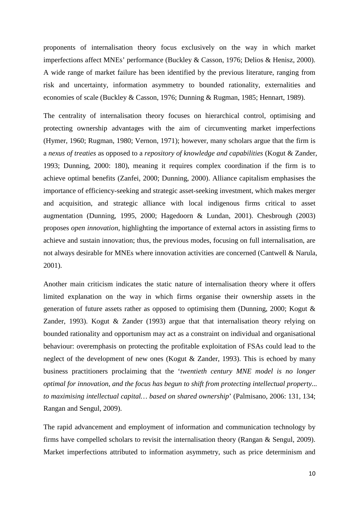proponents of internalisation theory focus exclusively on the way in which market imperfections affect MNEs' performance (Buckley & Casson, 1976; Delios & Henisz, 2000). A wide range of market failure has been identified by the previous literature, ranging from risk and uncertainty, information asymmetry to bounded rationality, externalities and economies of scale (Buckley & Casson, 1976; Dunning & Rugman, 1985; Hennart, 1989).

The centrality of internalisation theory focuses on hierarchical control, optimising and protecting ownership advantages with the aim of circumventing market imperfections (Hymer, 1960; Rugman, 1980; Vernon, 1971); however, many scholars argue that the firm is a *nexus of treaties* as opposed to a *repository of knowledge and capabilities* (Kogut & Zander, 1993; Dunning, 2000: 180), meaning it requires complex coordination if the firm is to achieve optimal benefits (Zanfei, 2000; Dunning, 2000). Alliance capitalism emphasises the importance of efficiency-seeking and strategic asset-seeking investment, which makes merger and acquisition, and strategic alliance with local indigenous firms critical to asset augmentation (Dunning, 1995, 2000; Hagedoorn & Lundan, 2001). Chesbrough (2003) proposes *open innovation*, highlighting the importance of external actors in assisting firms to achieve and sustain innovation; thus, the previous modes, focusing on full internalisation, are not always desirable for MNEs where innovation activities are concerned (Cantwell & Narula, 2001).

Another main criticism indicates the static nature of internalisation theory where it offers limited explanation on the way in which firms organise their ownership assets in the generation of future assets rather as opposed to optimising them (Dunning, 2000; Kogut & Zander, 1993). Kogut & Zander (1993) argue that that internalisation theory relying on bounded rationality and opportunism may act as a constraint on individual and organisational behaviour: overemphasis on protecting the profitable exploitation of FSAs could lead to the neglect of the development of new ones (Kogut & Zander, 1993). This is echoed by many business practitioners proclaiming that the '*twentieth century MNE model is no longer optimal for innovation, and the focus has begun to shift from protecting intellectual property... to maximising intellectual capital… based on shared ownership*' (Palmisano, 2006: 131, 134; Rangan and Sengul, 2009).

The rapid advancement and employment of information and communication technology by firms have compelled scholars to revisit the internalisation theory (Rangan & Sengul, 2009). Market imperfections attributed to information asymmetry, such as price determinism and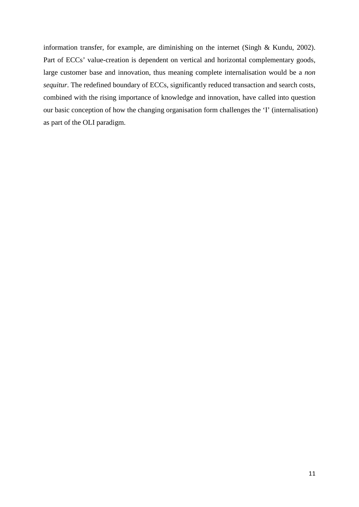information transfer, for example, are diminishing on the internet (Singh & Kundu, 2002). Part of ECCs' value-creation is dependent on vertical and horizontal complementary goods, large customer base and innovation, thus meaning complete internalisation would be a *non sequitur*. The redefined boundary of ECCs, significantly reduced transaction and search costs, combined with the rising importance of knowledge and innovation, have called into question our basic conception of how the changing organisation form challenges the 'I' (internalisation) as part of the OLI paradigm.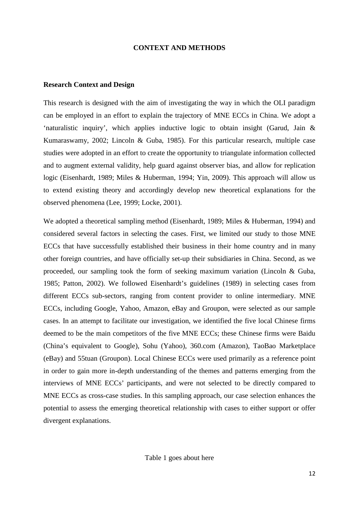#### **CONTEXT AND METHODS**

#### **Research Context and Design**

This research is designed with the aim of investigating the way in which the OLI paradigm can be employed in an effort to explain the trajectory of MNE ECCs in China. We adopt a 'naturalistic inquiry', which applies inductive logic to obtain insight (Garud, Jain & Kumaraswamy, 2002; Lincoln & Guba, 1985). For this particular research, multiple case studies were adopted in an effort to create the opportunity to triangulate information collected and to augment external validity, help guard against observer bias, and allow for replication logic (Eisenhardt, 1989; Miles & Huberman, 1994; Yin, 2009). This approach will allow us to extend existing theory and accordingly develop new theoretical explanations for the observed phenomena (Lee, 1999; Locke, 2001).

We adopted a theoretical sampling method (Eisenhardt, 1989; Miles & Huberman, 1994) and considered several factors in selecting the cases. First, we limited our study to those MNE ECCs that have successfully established their business in their home country and in many other foreign countries, and have officially set-up their subsidiaries in China. Second, as we proceeded, our sampling took the form of seeking maximum variation (Lincoln & Guba, 1985; Patton, 2002). We followed Eisenhardt's guidelines (1989) in selecting cases from different ECCs sub-sectors, ranging from content provider to online intermediary. MNE ECCs, including Google, Yahoo, Amazon, eBay and Groupon, were selected as our sample cases. In an attempt to facilitate our investigation, we identified the five local Chinese firms deemed to be the main competitors of the five MNE ECCs; these Chinese firms were Baidu (China's equivalent to Google), Sohu (Yahoo), 360.com (Amazon), TaoBao Marketplace (eBay) and 55tuan (Groupon). Local Chinese ECCs were used primarily as a reference point in order to gain more in-depth understanding of the themes and patterns emerging from the interviews of MNE ECCs' participants, and were not selected to be directly compared to MNE ECCs as cross-case studies. In this sampling approach, our case selection enhances the potential to assess the emerging theoretical relationship with cases to either support or offer divergent explanations.

Table 1 goes about here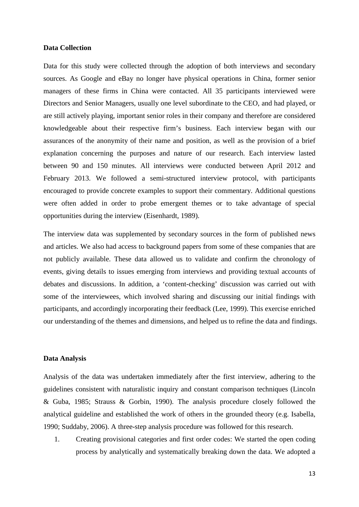#### **Data Collection**

Data for this study were collected through the adoption of both interviews and secondary sources. As Google and eBay no longer have physical operations in China, former senior managers of these firms in China were contacted. All 35 participants interviewed were Directors and Senior Managers, usually one level subordinate to the CEO, and had played, or are still actively playing, important senior roles in their company and therefore are considered knowledgeable about their respective firm's business. Each interview began with our assurances of the anonymity of their name and position, as well as the provision of a brief explanation concerning the purposes and nature of our research. Each interview lasted between 90 and 150 minutes. All interviews were conducted between April 2012 and February 2013. We followed a semi-structured interview protocol, with participants encouraged to provide concrete examples to support their commentary. Additional questions were often added in order to probe emergent themes or to take advantage of special opportunities during the interview (Eisenhardt, 1989).

The interview data was supplemented by secondary sources in the form of published news and articles. We also had access to background papers from some of these companies that are not publicly available. These data allowed us to validate and confirm the chronology of events, giving details to issues emerging from interviews and providing textual accounts of debates and discussions. In addition, a 'content-checking' discussion was carried out with some of the interviewees, which involved sharing and discussing our initial findings with participants, and accordingly incorporating their feedback (Lee, 1999). This exercise enriched our understanding of the themes and dimensions, and helped us to refine the data and findings.

#### **Data Analysis**

Analysis of the data was undertaken immediately after the first interview, adhering to the guidelines consistent with naturalistic inquiry and constant comparison techniques (Lincoln & Guba, 1985; Strauss & Gorbin, 1990). The analysis procedure closely followed the analytical guideline and established the work of others in the grounded theory (e.g. Isabella, 1990; Suddaby, 2006). A three-step analysis procedure was followed for this research.

1. Creating provisional categories and first order codes: We started the open coding process by analytically and systematically breaking down the data. We adopted a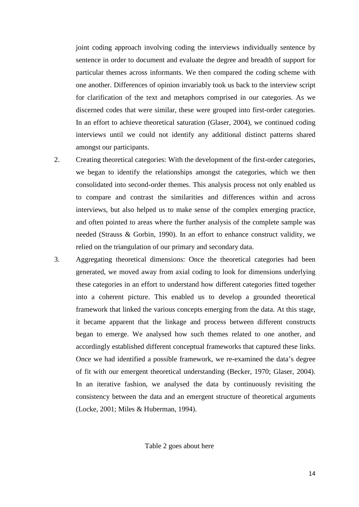joint coding approach involving coding the interviews individually sentence by sentence in order to document and evaluate the degree and breadth of support for particular themes across informants. We then compared the coding scheme with one another. Differences of opinion invariably took us back to the interview script for clarification of the text and metaphors comprised in our categories. As we discerned codes that were similar, these were grouped into first-order categories. In an effort to achieve theoretical saturation (Glaser, 2004), we continued coding interviews until we could not identify any additional distinct patterns shared amongst our participants.

- 2. Creating theoretical categories: With the development of the first-order categories, we began to identify the relationships amongst the categories, which we then consolidated into second-order themes. This analysis process not only enabled us to compare and contrast the similarities and differences within and across interviews, but also helped us to make sense of the complex emerging practice, and often pointed to areas where the further analysis of the complete sample was needed (Strauss & Gorbin, 1990). In an effort to enhance construct validity, we relied on the triangulation of our primary and secondary data.
- 3. Aggregating theoretical dimensions: Once the theoretical categories had been generated, we moved away from axial coding to look for dimensions underlying these categories in an effort to understand how different categories fitted together into a coherent picture. This enabled us to develop a grounded theoretical framework that linked the various concepts emerging from the data. At this stage, it became apparent that the linkage and process between different constructs began to emerge. We analysed how such themes related to one another, and accordingly established different conceptual frameworks that captured these links. Once we had identified a possible framework, we re-examined the data's degree of fit with our emergent theoretical understanding (Becker, 1970; Glaser, 2004). In an iterative fashion, we analysed the data by continuously revisiting the consistency between the data and an emergent structure of theoretical arguments (Locke, 2001; Miles & Huberman, 1994).

Table 2 goes about here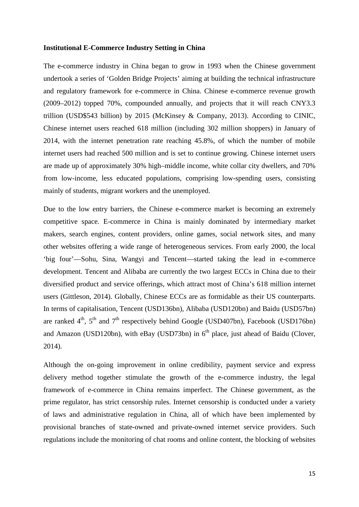#### **Institutional E-Commerce Industry Setting in China**

The e-commerce industry in China began to grow in 1993 when the Chinese government undertook a series of 'Golden Bridge Projects' aiming at building the technical infrastructure and regulatory framework for e-commerce in China. Chinese e-commerce revenue growth (2009–2012) topped 70%, compounded annually, and projects that it will reach CNY3.3 trillion (USD\$543 billion) by 2015 (McKinsey & Company, 2013). According to CINIC, Chinese internet users reached 618 million (including 302 million shoppers) in January of 2014, with the internet penetration rate reaching 45.8%, of which the number of mobile internet users had reached 500 million and is set to continue growing. Chinese internet users are made up of approximately 30% high–middle income, white collar city dwellers, and 70% from low-income, less educated populations, comprising low-spending users, consisting mainly of students, migrant workers and the unemployed.

Due to the low entry barriers, the Chinese e-commerce market is becoming an extremely competitive space. E-commerce in China is mainly dominated by intermediary market makers, search engines, content providers, online games, social network sites, and many other websites offering a wide range of heterogeneous services. From early 2000, the local 'big four'—Sohu, Sina, Wangyi and Tencent—started taking the lead in e-commerce development. Tencent and Alibaba are currently the two largest ECCs in China due to their diversified product and service offerings, which attract most of China's 618 million internet users (Gittleson, 2014). Globally, Chinese ECCs are as formidable as their US counterparts. In terms of capitalisation, Tencent (USD136bn), Alibaba (USD120bn) and Baidu (USD57bn) are ranked  $4<sup>th</sup>$ ,  $5<sup>th</sup>$  and  $7<sup>th</sup>$  respectively behind Google (USD407bn), Facebook (USD176bn) and Amazon (USD120bn), with eBay (USD73bn) in  $6<sup>th</sup>$  place, just ahead of Baidu (Clover, 2014).

Although the on-going improvement in online credibility, payment service and express delivery method together stimulate the growth of the e-commerce industry, the legal framework of e-commerce in China remains imperfect. The Chinese government, as the prime regulator, has strict censorship rules. Internet censorship is conducted under a variety of laws and administrative regulation in China, all of which have been implemented by provisional branches of state-owned and private-owned internet service providers. Such regulations include the monitoring of chat rooms and online content, the blocking of websites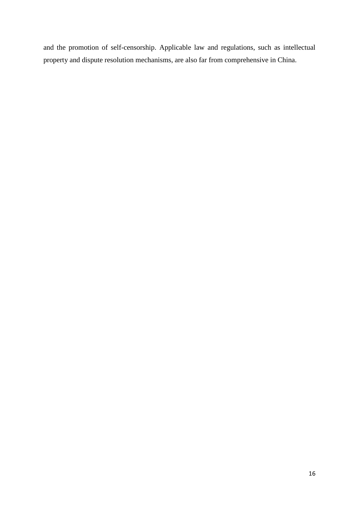and the promotion of self-censorship. Applicable law and regulations, such as intellectual property and dispute resolution mechanisms, are also far from comprehensive in China.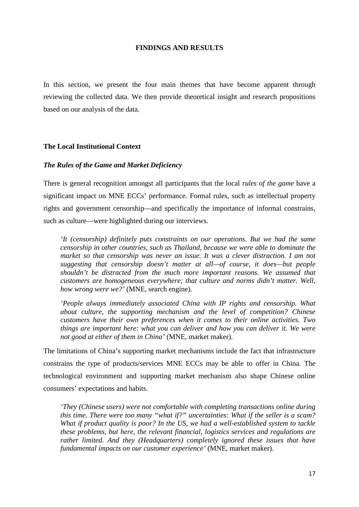## **FINDINGS AND RESULTS**

In this section, we present the four main themes that have become apparent through reviewing the collected data. We then provide theoretical insight and research propositions based on our analysis of the data.

#### **The Local Institutional Context**

#### *The Rules of the Game and Market Deficiency*

There is general recognition amongst all participants that the local *rules of the game* have a significant impact on MNE ECCs' performance. Formal rules, such as intellectual property rights and government censorship—and specifically the importance of informal constrains, such as culture—were highlighted during our interviews.

*'It (censorship) definitely puts constraints on our operations. But we had the same censorship in other countries, such as Thailand, because we were able to dominate the market so that censorship was never an issue. It was a clever distraction. I am not suggesting that censorship doesn't matter at all—of course, it does—but people shouldn't be distracted from the much more important reasons. We assumed that customers are homogeneous everywhere; that culture and norms didn't matter. Well, how wrong were we?'* (MNE, search engine).

*'People always immediately associated China with IP rights and censorship. What about culture, the supporting mechanism and the level of competition? Chinese customers have their own preferences when it comes to their online activities. Two things are important here: what you can deliver and how you can deliver it. We were not good at either of them in China'* (MNE, market maker).

The limitations of China's supporting market mechanisms include the fact that infrastructure constrains the type of products/services MNE ECCs may be able to offer in China. The technological environment and supporting market mechanism also shape Chinese online consumers' expectations and habits.

*'They (Chinese users) were not comfortable with completing transactions online during this time. There were too many "what if?" uncertainties: What if the seller is a scam? What if product quality is poor? In the US, we had a well-established system to tackle these problems, but here, the relevant financial, logistics services and regulations are rather limited. And they (Headquarters) completely ignored these issues that have fundamental impacts on our customer experience'* (MNE, market maker).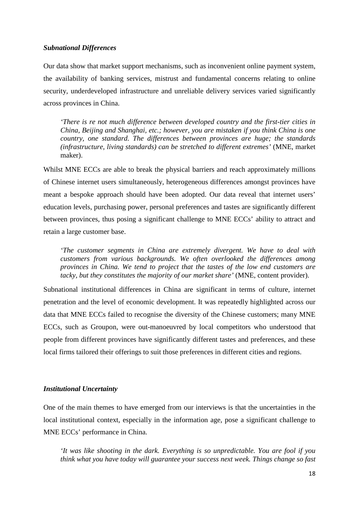## *Subnational Differences*

Our data show that market support mechanisms, such as inconvenient online payment system, the availability of banking services, mistrust and fundamental concerns relating to online security, underdeveloped infrastructure and unreliable delivery services varied significantly across provinces in China.

*'There is re not much difference between developed country and the first-tier cities in China, Beijing and Shanghai, etc.; however, you are mistaken if you think China is one country, one standard. The differences between provinces are huge; the standards (infrastructure, living standards) can be stretched to different extremes'* (MNE, market maker).

Whilst MNE ECCs are able to break the physical barriers and reach approximately millions of Chinese internet users simultaneously, heterogeneous differences amongst provinces have meant a bespoke approach should have been adopted. Our data reveal that internet users' education levels, purchasing power, personal preferences and tastes are significantly different between provinces, thus posing a significant challenge to MNE ECCs' ability to attract and retain a large customer base.

*'The customer segments in China are extremely divergent. We have to deal with customers from various backgrounds. We often overlooked the differences among provinces in China. We tend to project that the tastes of the low end customers are tacky, but they constitutes the majority of our market share'* (MNE, content provider).

Subnational institutional differences in China are significant in terms of culture, internet penetration and the level of economic development. It was repeatedly highlighted across our data that MNE ECCs failed to recognise the diversity of the Chinese customers; many MNE ECCs, such as Groupon, were out-manoeuvred by local competitors who understood that people from different provinces have significantly different tastes and preferences, and these local firms tailored their offerings to suit those preferences in different cities and regions.

#### *Institutional Uncertainty*

One of the main themes to have emerged from our interviews is that the uncertainties in the local institutional context, especially in the information age, pose a significant challenge to MNE ECCs' performance in China.

*'It was like shooting in the dark. Everything is so unpredictable. You are fool if you think what you have today will guarantee your success next week. Things change so fast*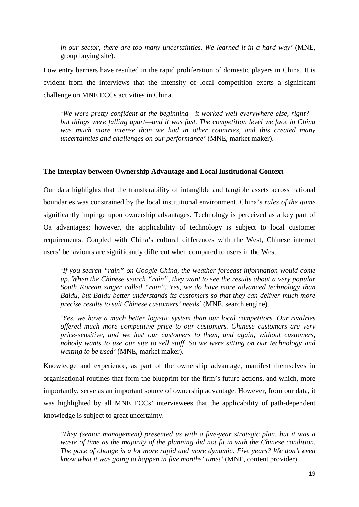*in our sector, there are too many uncertainties. We learned it in a hard way'* (MNE, group buying site).

Low entry barriers have resulted in the rapid proliferation of domestic players in China. It is evident from the interviews that the intensity of local competition exerts a significant challenge on MNE ECCs activities in China.

*'We were pretty confident at the beginning—it worked well everywhere else, right? but things were falling apart—and it was fast. The competition level we face in China was much more intense than we had in other countries, and this created many uncertainties and challenges on our performance'* (MNE, market maker).

## **The Interplay between Ownership Advantage and Local Institutional Context**

Our data highlights that the transferability of intangible and tangible assets across national boundaries was constrained by the local institutional environment. China's *rules of the game* significantly impinge upon ownership advantages. Technology is perceived as a key part of Oa advantages; however, the applicability of technology is subject to local customer requirements. Coupled with China's cultural differences with the West, Chinese internet users' behaviours are significantly different when compared to users in the West.

*'If you search "rain" on Google China, the weather forecast information would come up. When the Chinese search "rain", they want to see the results about a very popular South Korean singer called "rain". Yes, we do have more advanced technology than Baidu, but Baidu better understands its customers so that they can deliver much more precise results to suit Chinese customers' needs'* (MNE, search engine).

*'Yes, we have a much better logistic system than our local competitors. Our rivalries offered much more competitive price to our customers. Chinese customers are very price-sensitive, and we lost our customers to them, and again, without customers, nobody wants to use our site to sell stuff. So we were sitting on our technology and waiting to be used'* (MNE, market maker).

Knowledge and experience, as part of the ownership advantage, manifest themselves in organisational routines that form the blueprint for the firm's future actions, and which, more importantly, serve as an important source of ownership advantage. However, from our data, it was highlighted by all MNE ECCs' interviewees that the applicability of path-dependent knowledge is subject to great uncertainty.

*'They (senior management) presented us with a five-year strategic plan, but it was a waste of time as the majority of the planning did not fit in with the Chinese condition. The pace of change is a lot more rapid and more dynamic. Five years? We don't even know what it was going to happen in five months' time!'* (MNE, content provider).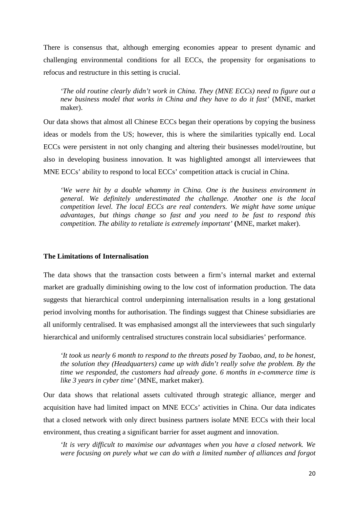There is consensus that, although emerging economies appear to present dynamic and challenging environmental conditions for all ECCs, the propensity for organisations to refocus and restructure in this setting is crucial.

*'The old routine clearly didn't work in China. They (MNE ECCs) need to figure out a new business model that works in China and they have to do it fast'* (MNE, market maker).

Our data shows that almost all Chinese ECCs began their operations by copying the business ideas or models from the US; however, this is where the similarities typically end. Local ECCs were persistent in not only changing and altering their businesses model/routine, but also in developing business innovation. It was highlighted amongst all interviewees that MNE ECCs' ability to respond to local ECCs' competition attack is crucial in China.

*'We were hit by a double whammy in China. One is the business environment in general. We definitely underestimated the challenge. Another one is the local competition level. The local ECCs are real contenders. We might have some unique advantages, but things change so fast and you need to be fast to respond this competition. The ability to retaliate is extremely important'* **(**MNE, market maker).

# **The Limitations of Internalisation**

The data shows that the transaction costs between a firm's internal market and external market are gradually diminishing owing to the low cost of information production. The data suggests that hierarchical control underpinning internalisation results in a long gestational period involving months for authorisation. The findings suggest that Chinese subsidiaries are all uniformly centralised. It was emphasised amongst all the interviewees that such singularly hierarchical and uniformly centralised structures constrain local subsidiaries' performance.

*'It took us nearly 6 month to respond to the threats posed by Taobao, and, to be honest, the solution they (Headquarters) came up with didn't really solve the problem. By the time we responded, the customers had already gone. 6 months in e-commerce time is like 3 years in cyber time'* (MNE, market maker).

Our data shows that relational assets cultivated through strategic alliance, merger and acquisition have had limited impact on MNE ECCs' activities in China. Our data indicates that a closed network with only direct business partners isolate MNE ECCs with their local environment, thus creating a significant barrier for asset augment and innovation.

*'It is very difficult to maximise our advantages when you have a closed network. We were focusing on purely what we can do with a limited number of alliances and forgot*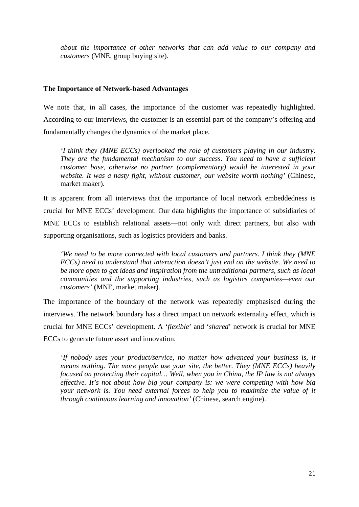*about the importance of other networks that can add value to our company and customers* (MNE, group buying site).

## **The Importance of Network-based Advantages**

We note that, in all cases, the importance of the customer was repeatedly highlighted. According to our interviews, the customer is an essential part of the company's offering and fundamentally changes the dynamics of the market place.

*'I think they (MNE ECCs) overlooked the role of customers playing in our industry. They are the fundamental mechanism to our success. You need to have a sufficient customer base, otherwise no partner (complementary) would be interested in your website. It was a nasty fight, without customer, our website worth nothing'* (Chinese, market maker).

It is apparent from all interviews that the importance of local network embeddedness is crucial for MNE ECCs' development. Our data highlights the importance of subsidiaries of MNE ECCs to establish relational assets—not only with direct partners, but also with supporting organisations, such as logistics providers and banks.

*'We need to be more connected with local customers and partners. I think they (MNE ECCs) need to understand that interaction doesn't just end on the website. We need to be more open to get ideas and inspiration from the untraditional partners, such as local communities and the supporting industries, such as logistics companies—even our customers'* **(**MNE, market maker).

The importance of the boundary of the network was repeatedly emphasised during the interviews. The network boundary has a direct impact on network externality effect, which is crucial for MNE ECCs' development. A '*flexible*' and '*shared*' network is crucial for MNE ECCs to generate future asset and innovation.

*'If nobody uses your product/service, no matter how advanced your business is, it means nothing. The more people use your site, the better. They (MNE ECCs) heavily focused on protecting their capital… Well, when you in China, the IP law is not always effective. It's not about how big your company is: we were competing with how big your network is. You need external forces to help you to maximise the value of it through continuous learning and innovation'* (Chinese, search engine).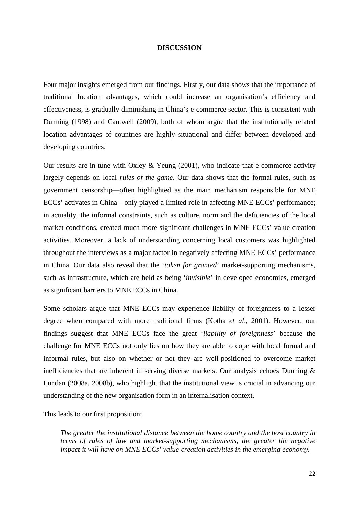#### **DISCUSSION**

Four major insights emerged from our findings. Firstly, our data shows that the importance of traditional location advantages, which could increase an organisation's efficiency and effectiveness, is gradually diminishing in China's e-commerce sector. This is consistent with Dunning (1998) and Cantwell (2009), both of whom argue that the institutionally related location advantages of countries are highly situational and differ between developed and developing countries.

Our results are in-tune with Oxley & Yeung  $(2001)$ , who indicate that e-commerce activity largely depends on local *rules of the game*. Our data shows that the formal rules, such as government censorship—often highlighted as the main mechanism responsible for MNE ECCs' activates in China—only played a limited role in affecting MNE ECCs' performance; in actuality, the informal constraints, such as culture, norm and the deficiencies of the local market conditions, created much more significant challenges in MNE ECCs' value-creation activities. Moreover, a lack of understanding concerning local customers was highlighted throughout the interviews as a major factor in negatively affecting MNE ECCs' performance in China. Our data also reveal that the '*taken for granted*' market-supporting mechanisms, such as infrastructure, which are held as being '*invisible*' in developed economies, emerged as significant barriers to MNE ECCs in China.

Some scholars argue that MNE ECCs may experience liability of foreignness to a lesser degree when compared with more traditional firms (Kotha *et al*., 2001). However, our findings suggest that MNE ECCs face the great '*liability of foreignness*' because the challenge for MNE ECCs not only lies on how they are able to cope with local formal and informal rules, but also on whether or not they are well-positioned to overcome market inefficiencies that are inherent in serving diverse markets. Our analysis echoes Dunning & Lundan (2008a, 2008b), who highlight that the institutional view is crucial in advancing our understanding of the new organisation form in an internalisation context.

This leads to our first proposition:

*The greater the institutional distance between the home country and the host country in terms of rules of law and market-supporting mechanisms, the greater the negative impact it will have on MNE ECCs' value-creation activities in the emerging economy.*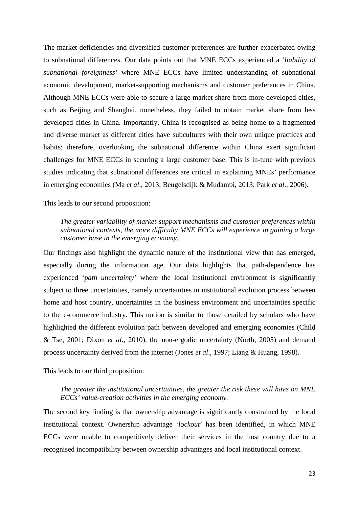The market deficiencies and diversified customer preferences are further exacerbated owing to subnational differences. Our data points out that MNE ECCs experienced a '*liability of subnational foreignness'* where MNE ECCs have limited understanding of subnational economic development, market-supporting mechanisms and customer preferences in China. Although MNE ECCs were able to secure a large market share from more developed cities, such as Beijing and Shanghai, nonetheless, they failed to obtain market share from less developed cities in China. Importantly, China is recognised as being home to a fragmented and diverse market as different cities have subcultures with their own unique practices and habits; therefore, overlooking the subnational difference within China exert significant challenges for MNE ECCs in securing a large customer base. This is in-tune with previous studies indicating that subnational differences are critical in explaining MNEs' performance in emerging economies (Ma *et al*., 2013; Beugelsdijk & Mudambi, 2013; Park *et al*., 2006).

This leads to our second proposition:

# *The greater variability of market-support mechanisms and customer preferences within subnational contexts, the more difficulty MNE ECCs will experience in gaining a large customer base in the emerging economy.*

Our findings also highlight the dynamic nature of the institutional view that has emerged, especially during the information age. Our data highlights that path-dependence has experienced '*path uncertainty*' where the local institutional environment is significantly subject to three uncertainties, namely uncertainties in institutional evolution process between home and host country, uncertainties in the business environment and uncertainties specific to the e-commerce industry. This notion is similar to those detailed by scholars who have highlighted the different evolution path between developed and emerging economies (Child & Tse, 2001; Dixon *et al*., 2010), the non-ergodic uncertainty (North, 2005) and demand process uncertainty derived from the internet (Jones *et al*., 1997; Liang & Huang, 1998).

This leads to our third proposition:

# *The greater the institutional uncertainties, the greater the risk these will have on MNE ECCs' value-creation activities in the emerging economy.*

The second key finding is that ownership advantage is significantly constrained by the local institutional context. Ownership advantage '*lockout*' has been identified, in which MNE ECCs were unable to competitively deliver their services in the host country due to a recognised incompatibility between ownership advantages and local institutional context.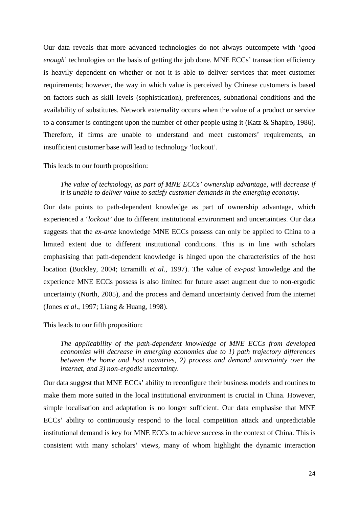Our data reveals that more advanced technologies do not always outcompete with '*good enough*' technologies on the basis of getting the job done. MNE ECCs' transaction efficiency is heavily dependent on whether or not it is able to deliver services that meet customer requirements; however, the way in which value is perceived by Chinese customers is based on factors such as skill levels (sophistication), preferences, subnational conditions and the availability of substitutes. Network externality occurs when the value of a product or service to a consumer is contingent upon the number of other people using it (Katz & Shapiro, 1986). Therefore, if firms are unable to understand and meet customers' requirements, an insufficient customer base will lead to technology 'lockout'.

This leads to our fourth proposition:

*The value of technology, as part of MNE ECCs' ownership advantage, will decrease if it is unable to deliver value to satisfy customer demands in the emerging economy.*

Our data points to path-dependent knowledge as part of ownership advantage, which experienced a '*lockout'* due to different institutional environment and uncertainties. Our data suggests that the *ex-ante* knowledge MNE ECCs possess can only be applied to China to a limited extent due to different institutional conditions. This is in line with scholars emphasising that path-dependent knowledge is hinged upon the characteristics of the host location (Buckley, 2004; Erramilli *et al*., 1997). The value of *ex-post* knowledge and the experience MNE ECCs possess is also limited for future asset augment due to non-ergodic uncertainty (North, 2005), and the process and demand uncertainty derived from the internet (Jones *et al*., 1997; Liang & Huang, 1998).

This leads to our fifth proposition:

*The applicability of the path-dependent knowledge of MNE ECCs from developed economies will decrease in emerging economies due to 1) path trajectory differences between the home and host countries, 2) process and demand uncertainty over the internet, and 3) non-ergodic uncertainty.*

Our data suggest that MNE ECCs' ability to reconfigure their business models and routines to make them more suited in the local institutional environment is crucial in China. However, simple localisation and adaptation is no longer sufficient. Our data emphasise that MNE ECCs' ability to continuously respond to the local competition attack and unpredictable institutional demand is key for MNE ECCs to achieve success in the context of China. This is consistent with many scholars' views, many of whom highlight the dynamic interaction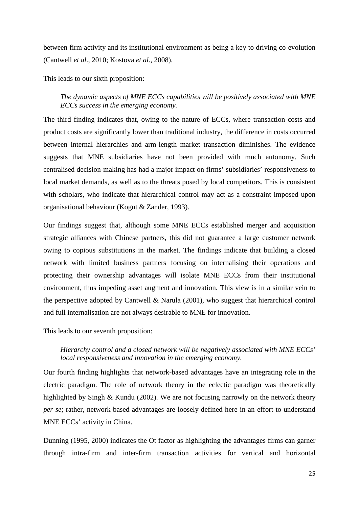between firm activity and its institutional environment as being a key to driving co-evolution (Cantwell *et al*., 2010; Kostova *et al*., 2008).

This leads to our sixth proposition:

# *The dynamic aspects of MNE ECCs capabilities will be positively associated with MNE ECCs success in the emerging economy.*

The third finding indicates that, owing to the nature of ECCs, where transaction costs and product costs are significantly lower than traditional industry, the difference in costs occurred between internal hierarchies and arm-length market transaction diminishes. The evidence suggests that MNE subsidiaries have not been provided with much autonomy. Such centralised decision-making has had a major impact on firms' subsidiaries' responsiveness to local market demands, as well as to the threats posed by local competitors. This is consistent with scholars, who indicate that hierarchical control may act as a constraint imposed upon organisational behaviour (Kogut & Zander, 1993).

Our findings suggest that, although some MNE ECCs established merger and acquisition strategic alliances with Chinese partners, this did not guarantee a large customer network owing to copious substitutions in the market. The findings indicate that building a closed network with limited business partners focusing on internalising their operations and protecting their ownership advantages will isolate MNE ECCs from their institutional environment, thus impeding asset augment and innovation. This view is in a similar vein to the perspective adopted by Cantwell & Narula (2001), who suggest that hierarchical control and full internalisation are not always desirable to MNE for innovation.

This leads to our seventh proposition:

# *Hierarchy control and a closed network will be negatively associated with MNE ECCs' local responsiveness and innovation in the emerging economy.*

Our fourth finding highlights that network-based advantages have an integrating role in the electric paradigm. The role of network theory in the eclectic paradigm was theoretically highlighted by Singh & Kundu (2002). We are not focusing narrowly on the network theory *per se*; rather, network-based advantages are loosely defined here in an effort to understand MNE ECCs' activity in China.

Dunning (1995, 2000) indicates the Ot factor as highlighting the advantages firms can garner through intra-firm and inter-firm transaction activities for vertical and horizontal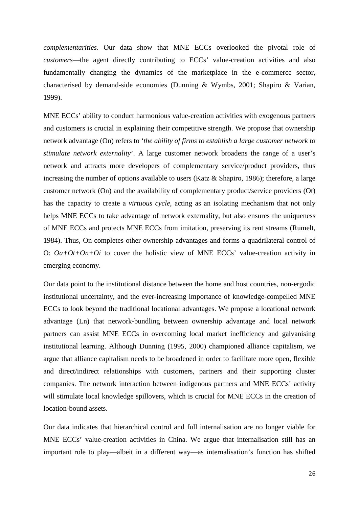*complementarities*. Our data show that MNE ECCs overlooked the pivotal role of *customers*—the agent directly contributing to ECCs' value-creation activities and also fundamentally changing the dynamics of the marketplace in the e-commerce sector, characterised by demand-side economies (Dunning & Wymbs, 2001; Shapiro & Varian, 1999).

MNE ECCs' ability to conduct harmonious value-creation activities with exogenous partners and customers is crucial in explaining their competitive strength. We propose that ownership network advantage (On) refers to '*the ability of firms to establish a large customer network to stimulate network externality*'. A large customer network broadens the range of a user's network and attracts more developers of complementary service/product providers, thus increasing the number of options available to users (Katz & Shapiro, 1986); therefore, a large customer network (On) and the availability of complementary product/service providers (Ot) has the capacity to create a *virtuous cycle*, acting as an isolating mechanism that not only helps MNE ECCs to take advantage of network externality, but also ensures the uniqueness of MNE ECCs and protects MNE ECCs from imitation, preserving its rent streams (Rumelt, 1984). Thus, On completes other ownership advantages and forms a quadrilateral control of O: *Oa+Ot+On+Oi* to cover the holistic view of MNE ECCs' value-creation activity in emerging economy.

Our data point to the institutional distance between the home and host countries, non-ergodic institutional uncertainty, and the ever-increasing importance of knowledge-compelled MNE ECCs to look beyond the traditional locational advantages. We propose a locational network advantage (Ln) that network-bundling between ownership advantage and local network partners can assist MNE ECCs in overcoming local market inefficiency and galvanising institutional learning. Although Dunning (1995, 2000) championed alliance capitalism, we argue that alliance capitalism needs to be broadened in order to facilitate more open, flexible and direct/indirect relationships with customers, partners and their supporting cluster companies. The network interaction between indigenous partners and MNE ECCs' activity will stimulate local knowledge spillovers, which is crucial for MNE ECCs in the creation of location-bound assets.

Our data indicates that hierarchical control and full internalisation are no longer viable for MNE ECCs' value-creation activities in China. We argue that internalisation still has an important role to play—albeit in a different way—as internalisation's function has shifted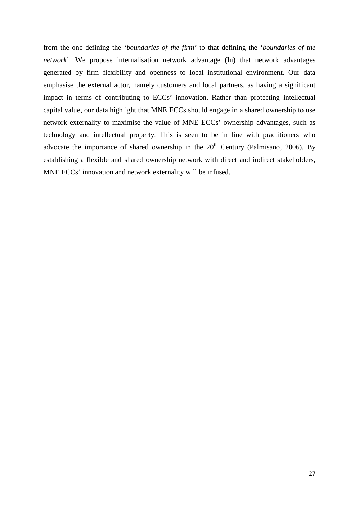from the one defining the '*boundaries of the firm'* to that defining the '*boundaries of the network*'. We propose internalisation network advantage (In) that network advantages generated by firm flexibility and openness to local institutional environment. Our data emphasise the external actor, namely customers and local partners, as having a significant impact in terms of contributing to ECCs' innovation. Rather than protecting intellectual capital value, our data highlight that MNE ECCs should engage in a shared ownership to use network externality to maximise the value of MNE ECCs' ownership advantages, such as technology and intellectual property. This is seen to be in line with practitioners who advocate the importance of shared ownership in the  $20<sup>th</sup>$  Century (Palmisano, 2006). By establishing a flexible and shared ownership network with direct and indirect stakeholders, MNE ECCs' innovation and network externality will be infused.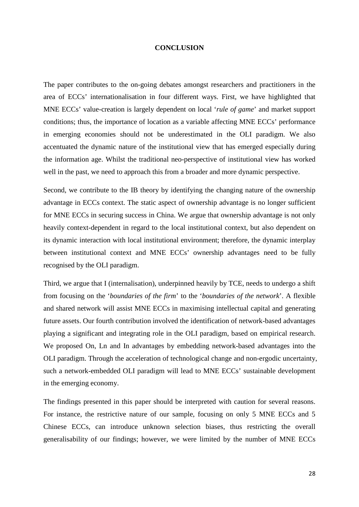#### **CONCLUSION**

The paper contributes to the on-going debates amongst researchers and practitioners in the area of ECCs' internationalisation in four different ways. First, we have highlighted that MNE ECCs' value-creation is largely dependent on local '*rule of game*' and market support conditions; thus, the importance of location as a variable affecting MNE ECCs' performance in emerging economies should not be underestimated in the OLI paradigm. We also accentuated the dynamic nature of the institutional view that has emerged especially during the information age. Whilst the traditional neo-perspective of institutional view has worked well in the past, we need to approach this from a broader and more dynamic perspective.

Second, we contribute to the IB theory by identifying the changing nature of the ownership advantage in ECCs context. The static aspect of ownership advantage is no longer sufficient for MNE ECCs in securing success in China. We argue that ownership advantage is not only heavily context-dependent in regard to the local institutional context, but also dependent on its dynamic interaction with local institutional environment; therefore, the dynamic interplay between institutional context and MNE ECCs' ownership advantages need to be fully recognised by the OLI paradigm.

Third, we argue that I (internalisation), underpinned heavily by TCE, needs to undergo a shift from focusing on the '*boundaries of the firm*' to the '*boundaries of the network*'. A flexible and shared network will assist MNE ECCs in maximising intellectual capital and generating future assets. Our fourth contribution involved the identification of network-based advantages playing a significant and integrating role in the OLI paradigm, based on empirical research. We proposed On, Ln and In advantages by embedding network-based advantages into the OLI paradigm. Through the acceleration of technological change and non-ergodic uncertainty, such a network-embedded OLI paradigm will lead to MNE ECCs' sustainable development in the emerging economy.

The findings presented in this paper should be interpreted with caution for several reasons. For instance, the restrictive nature of our sample, focusing on only 5 MNE ECCs and 5 Chinese ECCs, can introduce unknown selection biases, thus restricting the overall generalisability of our findings; however, we were limited by the number of MNE ECCs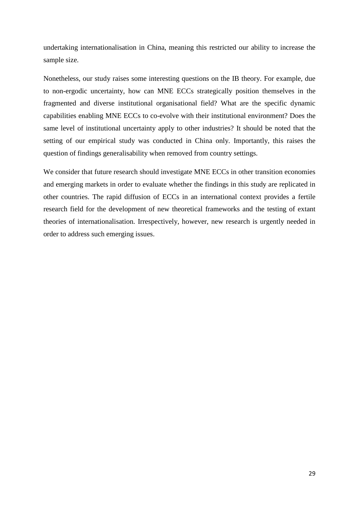undertaking internationalisation in China, meaning this restricted our ability to increase the sample size.

Nonetheless, our study raises some interesting questions on the IB theory. For example, due to non-ergodic uncertainty, how can MNE ECCs strategically position themselves in the fragmented and diverse institutional organisational field? What are the specific dynamic capabilities enabling MNE ECCs to co-evolve with their institutional environment? Does the same level of institutional uncertainty apply to other industries? It should be noted that the setting of our empirical study was conducted in China only. Importantly, this raises the question of findings generalisability when removed from country settings.

We consider that future research should investigate MNE ECCs in other transition economies and emerging markets in order to evaluate whether the findings in this study are replicated in other countries. The rapid diffusion of ECCs in an international context provides a fertile research field for the development of new theoretical frameworks and the testing of extant theories of internationalisation. Irrespectively, however, new research is urgently needed in order to address such emerging issues.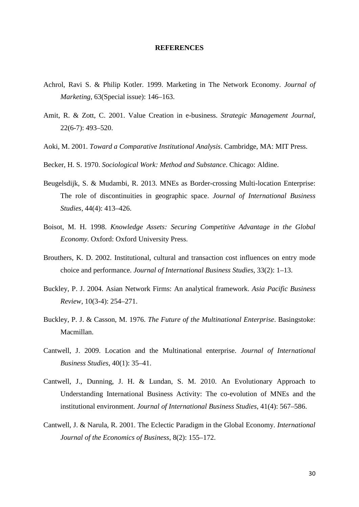#### **REFERENCES**

- Achrol, Ravi S. & Philip Kotler. 1999. Marketing in The Network Economy. *Journal of Marketing*, 63(Special issue): 146–163.
- Amit, R. & Zott, C. 2001. Value Creation in e-business. *Strategic Management Journal*, 22(6-7): 493–520.
- Aoki, M. 2001. *Toward a Comparative Institutional Analysis*. Cambridge, MA: MIT Press.
- Becker, H. S. 1970. *Sociological Work: Method and Substance*. Chicago: Aldine.
- Beugelsdijk, S. & Mudambi, R. 2013. MNEs as Border-crossing Multi-location Enterprise: The role of discontinuities in geographic space. *Journal of International Business Studies*, 44(4): 413–426.
- Boisot, M. H. 1998. *Knowledge Assets: Securing Competitive Advantage in the Global Economy.* Oxford: Oxford University Press.
- <span id="page-29-1"></span>Brouthers, K. D. 2002. Institutional, cultural and transaction cost influences on entry mode choice and performance. *Journal of International Business Studies*, 33(2): 1–13.
- Buckley, P. J. 2004. Asian Network Firms: An analytical framework. *Asia Pacific Business Review*, 10(3-4): 254–271.
- Buckley, P. J. & Casson, M. 1976. *The Future of the Multinational Enterprise*. Basingstoke: Macmillan.
- Cantwell, J. 2009. Location and the Multinational enterprise. *Journal of International Business Studies*, 40(1): 35–41.
- Cantwell, J., Dunning, J. H. & Lundan, S. M. 2010. An Evolutionary Approach to Understanding International Business Activity: The co-evolution of MNEs and the institutional environment. *Journal of International Business Studies*, 41(4): 567–586.
- <span id="page-29-0"></span>Cantwell, J. & Narula, R. 2001. The Eclectic Paradigm in the Global Economy. *International Journal of the Economics of Business*, 8(2): 155–172.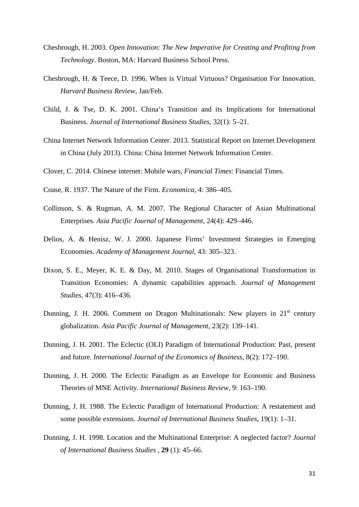- Chesbrough, H. 2003. *Open Innovation: The New Imperative for Creating and Profiting from Technology*. Boston, MA: Harvard Business School Press.
- Chesbrough, H. & Teece, D. 1996. When is Virtual Virtuous? Organisation For Innovation. *Harvard Business Review*, Jan/Feb.
- Child, J. & Tse, D. K. 2001. China's Transition and its Implications for International Business. *Journal of International Business Studies*, 32(1): 5–21.
- China Internet Network Information Center. 2013. Statistical Report on Internet Development in China (July 2013). China: China Internet Network Information Center.
- Clover, C. 2014. Chinese internet: Mobile wars, *Financial Times*: Financial Times.
- <span id="page-30-0"></span>Coase, R. 1937. The Nature of the Firm. *Economica*, 4: 386–405.
- Collinson, S. & Rugman, A. M. 2007. The Regional Character of Asian Multinational Enterprises. *Asia Pacific Journal of Management*, 24(4): 429–446.
- Delios, A. & Henisz, W. J. 2000. Japanese Firms' Investment Strategies in Emerging Economies. *Academy of Management Journal*, 43: 305–323.
- Dixon, S. E., Meyer, K. E. & Day, M. 2010. Stages of Organisational Transformation in Transition Economies: A dynamic capabilities approach. *Journal of Management Studies*, 47(3): 416–436.
- Dunning, J. H. 2006. Comment on Dragon Multinationals: New players in  $21<sup>st</sup>$  century globalization. *Asia Pacific Journal of Management*, 23(2): 139–141.
- Dunning, J. H. 2001. The Eclectic (OLI) Paradigm of International Production: Past, present and future. *International Journal of the Economics of Business*, 8(2): 172–190.
- Dunning, J. H. 2000. The Eclectic Paradigm as an Envelope for Economic and Business Theories of MNE Activity. *International Business Review*, 9: 163–190.
- Dunning, J. H. 1988. The Eclectic Paradigm of International Production: A restatement and some possible extensions. *Journal of International Business Studies*, 19(1): 1–31.
- Dunning, J. H. 1998. Location and the Multinational Enterprise: A neglected factor? *Journal of International Business Studies* , **29** (1): 45–66.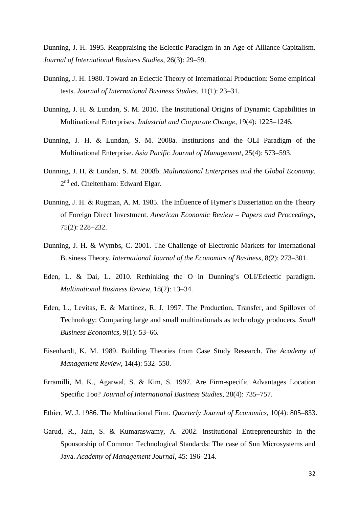Dunning, J. H. 1995. Reappraising the Eclectic Paradigm in an Age of Alliance Capitalism. *Journal of International Business Studies*, 26(3): 29–59.

- Dunning, J. H. 1980. Toward an Eclectic Theory of International Production: Some empirical tests. *Journal of International Business Studies*, 11(1): 23–31.
- Dunning, J. H. & Lundan, S. M. 2010. The Institutional Origins of Dynamic Capabilities in Multinational Enterprises. *Industrial and Corporate Change*, 19(4): 1225–1246.
- Dunning, J. H. & Lundan, S. M. 2008a. Institutions and the OLI Paradigm of the Multinational Enterprise. *Asia Pacific Journal of Management*, 25(4): 573–593.
- Dunning, J. H. & Lundan, S. M. 2008b. *Multinational Enterprises and the Global Economy*.  $2<sup>nd</sup>$  ed. Cheltenham: Edward Elgar.
- Dunning, J. H. & Rugman, A. M. 1985. The Influence of Hymer's Dissertation on the Theory of Foreign Direct Investment. *American Economic Review – Papers and Proceedings*, 75(2): 228–232.
- Dunning, J. H. & Wymbs, C. 2001. The Challenge of Electronic Markets for International Business Theory. *International Journal of the Economics of Business*, 8(2): 273–301.
- Eden, L. & Dai, L. 2010. Rethinking the O in Dunning's OLI/Eclectic paradigm. *Multinational Business Review*, 18(2): 13–34.
- Eden, L., Levitas, E. & Martinez, R. J. 1997. The Production, Transfer, and Spillover of Technology: Comparing large and small multinationals as technology producers. *Small Business Economics*, 9(1): 53–66.
- Eisenhardt, K. M. 1989. Building Theories from Case Study Research. *The Academy of Management Review*, 14(4): 532–550.
- Erramilli, M. K., Agarwal, S. & Kim, S. 1997. Are Firm-specific Advantages Location Specific Too? *Journal of International Business Studies*, 28(4): 735–757.
- Ethier, W. J. 1986. The Multinational Firm. *Quarterly Journal of Economics*, 10(4): 805–833.
- Garud, R., Jain, S. & Kumaraswamy, A. 2002. Institutional Entrepreneurship in the Sponsorship of Common Technological Standards: The case of Sun Microsystems and Java. *Academy of Management Journal*, 45: 196–214.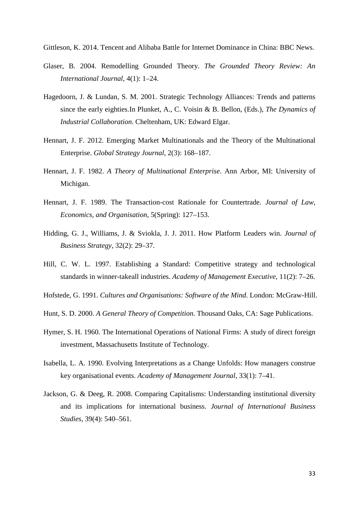Gittleson, K. 2014. Tencent and Alibaba Battle for Internet Dominance in China: BBC News.

- Glaser, B. 2004. Remodelling Grounded Theory. *The Grounded Theory Review: An International Journal*, 4(1): 1–24.
- Hagedoorn, J. & Lundan, S. M. 2001. Strategic Technology Alliances: Trends and patterns since the early eighties.In Plunket, A., C. Voisin & B. Bellon, (Eds.), *The Dynamics of Industrial Collaboration*. Cheltenham, UK: Edward Elgar.
- Hennart, J. F. 2012. Emerging Market Multinationals and the Theory of the Multinational Enterprise. *Global Strategy Journal*, 2(3): 168–187.
- Hennart, J. F. 1982. *A Theory of Multinational Enterprise*. Ann Arbor, MI: University of Michigan.
- Hennart, J. F. 1989. The Transaction-cost Rationale for Countertrade. *Journal of Law, Economics, and Organisation*, 5(Spring): 127–153.
- Hidding, G. J., Williams, J. & Sviokla, J. J. 2011. How Platform Leaders win. *Journal of Business Strategy*, 32(2): 29–37.
- Hill, C. W. L. 1997. Establishing a Standard: Competitive strategy and technological standards in winner-takeall industries. *Academy of Management Executive*, 11(2): 7–26.
- Hofstede, G. 1991. *Cultures and Organisations: Software of the Mind*. London: McGraw-Hill.
- Hunt, S. D. 2000. *A General Theory of Competition*. Thousand Oaks, CA: Sage Publications.
- Hymer, S. H. 1960. The International Operations of National Firms: A study of direct foreign investment, Massachusetts Institute of Technology.
- Isabella, L. A. 1990. Evolving Interpretations as a Change Unfolds: How managers construe key organisational events. *Academy of Management Journal*, 33(1): 7–41.
- Jackson, G. & Deeg, R. 2008. Comparing Capitalisms: Understanding institutional diversity and its implications for international business. *Journal of International Business Studies*, 39(4): 540–561.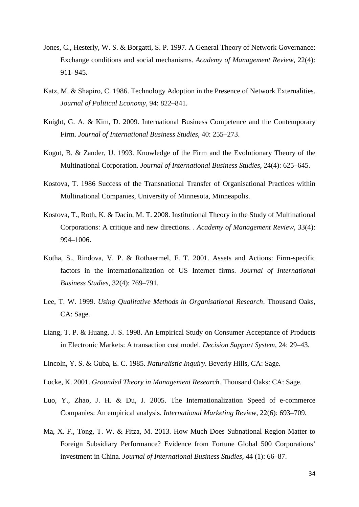- Jones, C., Hesterly, W. S. & Borgatti, S. P. 1997. A General Theory of Network Governance: Exchange conditions and social mechanisms. *Academy of Management Review*, 22(4): 911–945.
- Katz, M. & Shapiro, C. 1986. Technology Adoption in the Presence of Network Externalities. *Journal of Political Economy*, 94: 822–841.
- Knight, G. A. & Kim, D. 2009. International Business Competence and the Contemporary Firm. *Journal of International Business Studies*, 40: 255–273.
- Kogut, B. & Zander, U. 1993. Knowledge of the Firm and the Evolutionary Theory of the Multinational Corporation. *Journal of International Business Studies*, 24(4): 625–645.
- Kostova, T. 1986 Success of the Transnational Transfer of Organisational Practices within Multinational Companies, University of Minnesota, Minneapolis.
- Kostova, T., Roth, K. & Dacin, M. T. 2008. Institutional Theory in the Study of Multinational Corporations: A critique and new directions. . *Academy of Management Review*, 33(4): 994–1006.
- Kotha, S., Rindova, V. P. & Rothaermel, F. T. 2001. Assets and Actions: Firm-specific factors in the internationalization of US Internet firms. *Journal of International Business Studies*, 32(4): 769–791.
- Lee, T. W. 1999. *Using Qualitative Methods in Organisational Research*. Thousand Oaks, CA: Sage.
- Liang, T. P. & Huang, J. S. 1998. An Empirical Study on Consumer Acceptance of Products in Electronic Markets: A transaction cost model. *Decision Support System*, 24: 29–43.
- Lincoln, Y. S. & Guba, E. C. 1985. *Naturalistic Inquiry*. Beverly Hills, CA: Sage.
- Locke, K. 2001. *Grounded Theory in Management Research*. Thousand Oaks: CA: Sage.
- Luo, Y., Zhao, J. H. & Du, J. 2005. The Internationalization Speed of e-commerce Companies: An empirical analysis. *International Marketing Review*, 22(6): 693–709.
- Ma, X. F., Tong, T. W. & Fitza, M. 2013. How Much Does Subnational Region Matter to Foreign Subsidiary Performance? Evidence from Fortune Global 500 Corporations' investment in China. *Journal of International Business Studies*, 44 (1): 66–87.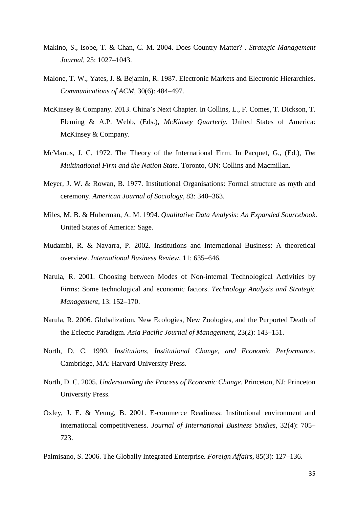- Makino, S., Isobe, T. & Chan, C. M. 2004. Does Country Matter? . *Strategic Management Journal*, 25: 1027–1043.
- Malone, T. W., Yates, J. & Bejamin, R. 1987. Electronic Markets and Electronic Hierarchies. *Communications of ACM*, 30(6): 484–497.
- McKinsey & Company. 2013. China's Next Chapter. In Collins, L., F. Comes, T. Dickson, T. Fleming & A.P. Webb, (Eds.), *McKinsey Quarterly*. United States of America: McKinsey & Company.
- McManus, J. C. 1972. The Theory of the International Firm. In Pacquet, G., (Ed.), *The Multinational Firm and the Nation State*. Toronto, ON: Collins and Macmillan.
- Meyer, J. W. & Rowan, B. 1977. Institutional Organisations: Formal structure as myth and ceremony. *American Journal of Sociology*, 83: 340–363.
- Miles, M. B. & Huberman, A. M. 1994. *Qualitative Data Analysis: An Expanded Sourcebook*. United States of America: Sage.
- Mudambi, R. & Navarra, P. 2002. Institutions and International Business: A theoretical overview. *International Business Review*, 11: 635–646.
- Narula, R. 2001. Choosing between Modes of Non-internal Technological Activities by Firms: Some technological and economic factors. *Technology Analysis and Strategic Management*, 13: 152–170.
- Narula, R. 2006. Globalization, New Ecologies, New Zoologies, and the Purported Death of the Eclectic Paradigm. *Asia Pacific Journal of Management*, 23(2): 143–151.
- North, D. C. 1990. *Institutions, Institutional Change, and Economic Performance.* Cambridge, MA: Harvard University Press.
- North, D. C. 2005. *Understanding the Process of Economic Change*. Princeton, NJ: Princeton University Press.
- Oxley, J. E. & Yeung, B. 2001. E-commerce Readiness: Institutional environment and international competitiveness. *Journal of International Business Studies*, 32(4): 705– 723.
- Palmisano, S. 2006. The Globally Integrated Enterprise. *Foreign Affairs*, 85(3): 127–136.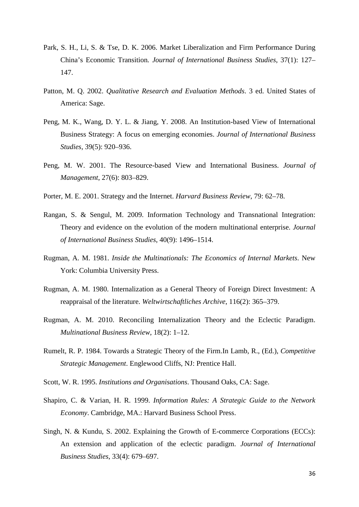- Park, S. H., Li, S. & Tse, D. K. 2006. Market Liberalization and Firm Performance During China's Economic Transition*. Journal of International Business Studies*, 37(1): 127– 147.
- Patton, M. Q. 2002. *Qualitative Research and Evaluation Methods*. 3 ed. United States of America: Sage.
- Peng, M. K., Wang, D. Y. L. & Jiang, Y. 2008. An Institution-based View of International Business Strategy: A focus on emerging economies. *Journal of International Business Studies*, 39(5): 920–936.
- Peng, M. W. 2001. The Resource-based View and International Business. *Journal of Management*, 27(6): 803–829.
- Porter, M. E. 2001. Strategy and the Internet. *Harvard Business Review*, 79: 62–78.
- Rangan, S. & Sengul, M. 2009. Information Technology and Transnational Integration: Theory and evidence on the evolution of the modern multinational enterprise. *Journal of International Business Studies*, 40(9): 1496–1514.
- Rugman, A. M. 1981. *Inside the Multinationals: The Economics of Internal Markets*. New York: Columbia University Press.
- Rugman, A. M. 1980. Internalization as a General Theory of Foreign Direct Investment: A reappraisal of the literature. *Weltwirtschaftliches Archive*, 116(2): 365–379.
- Rugman, A. M. 2010. Reconciling Internalization Theory and the Eclectic Paradigm. *Multinational Business Review*, 18(2): 1–12.
- Rumelt, R. P. 1984. Towards a Strategic Theory of the Firm.In Lamb, R., (Ed.), *Competitive Strategic Management*. Englewood Cliffs, NJ: Prentice Hall.
- Scott, W. R. 1995. *Institutions and Organisations*. Thousand Oaks, CA: Sage.
- Shapiro, C. & Varian, H. R. 1999. *Information Rules: A Strategic Guide to the Network Economy*. Cambridge, MA.: Harvard Business School Press.
- Singh, N. & Kundu, S. 2002. Explaining the Growth of E-commerce Corporations (ECCs): An extension and application of the eclectic paradigm. *Journal of International Business Studies*, 33(4): 679–697.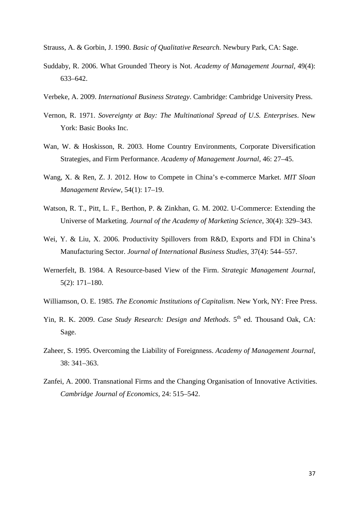- Strauss, A. & Gorbin, J. 1990. *Basic of Qualitative Research*. Newbury Park, CA: Sage.
- Suddaby, R. 2006. What Grounded Theory is Not. *Academy of Management Journal*, 49(4): 633–642.
- Verbeke, A. 2009. *International Business Strategy*. Cambridge: Cambridge University Press.
- Vernon, R. 1971. *Sovereignty at Bay: The Multinational Spread of U.S. Enterprises*. New York: Basic Books Inc.
- Wan, W. & Hoskisson, R. 2003. Home Country Environments, Corporate Diversification Strategies, and Firm Performance. *Academy of Management Journal*, 46: 27–45.
- Wang, X. & Ren, Z. J. 2012. How to Compete in China's e-commerce Market. *MIT Sloan Management Review*, 54(1): 17–19.
- Watson, R. T., Pitt, L. F., Berthon, P. & Zinkhan, G. M. 2002. U-Commerce: Extending the Universe of Marketing. *Journal of the Academy of Marketing Science*, 30(4): 329–343.
- Wei, Y. & Liu, X. 2006. Productivity Spillovers from R&D, Exports and FDI in China's Manufacturing Sector. *Journal of International Business Studies*, 37(4): 544–557.
- Wernerfelt, B. 1984. A Resource-based View of the Firm. *Strategic Management Journal*, 5(2): 171–180.
- Williamson, O. E. 1985. *The Economic Institutions of Capitalism*. New York, NY: Free Press.
- Yin, R. K. 2009. *Case Study Research: Design and Methods*. 5<sup>th</sup> ed. Thousand Oak, CA: Sage.
- Zaheer, S. 1995. Overcoming the Liability of Foreignness. *Academy of Management Journal*, 38: 341–363.
- Zanfei, A. 2000. Transnational Firms and the Changing Organisation of Innovative Activities. *Cambridge Journal of Economics*, 24: 515–542.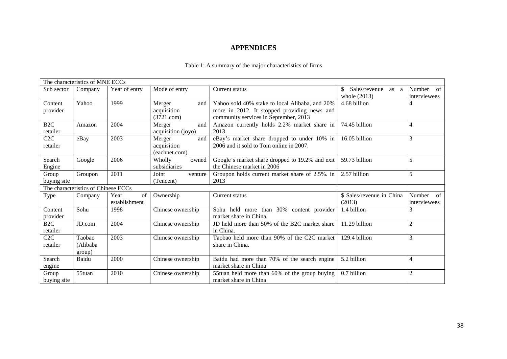# **APPENDICES**

| The characteristics of MNE ECCs     |          |               |                    |                                                 |                           |                |  |  |
|-------------------------------------|----------|---------------|--------------------|-------------------------------------------------|---------------------------|----------------|--|--|
| Sub sector                          | Company  | Year of entry | Mode of entry      | Current status                                  | Sales/revenue<br>as a     | Number<br>of   |  |  |
|                                     |          |               |                    |                                                 | whole $(2013)$            | interviewees   |  |  |
| Content                             | Yahoo    | 1999          | Merger<br>and      | Yahoo sold 40% stake to local Alibaba, and 20%  | 4.68 billion              | 4              |  |  |
| provider                            |          |               | acquisition        | more in 2012. It stopped providing news and     |                           |                |  |  |
|                                     |          |               | (3721.com)         | community services in September, 2013           |                           |                |  |  |
| B <sub>2C</sub>                     | Amazon   | 2004          | Merger<br>and      | Amazon currently holds 2.2% market share in     | 74.45 billion             | $\overline{4}$ |  |  |
| retailer                            |          |               | acquisition (joyo) | 2013                                            |                           |                |  |  |
| C2C                                 | eBay     | 2003          | Merger<br>and      | eBay's market share dropped to under 10% in     | 16.05 billion             | 3              |  |  |
| retailer                            |          |               | acquisition        | 2006 and it sold to Tom online in 2007.         |                           |                |  |  |
|                                     |          |               | (eachnet.com)      |                                                 |                           |                |  |  |
| Search                              | Google   | 2006          | Wholly<br>owned    | Google's market share dropped to 19.2% and exit | 59.73 billion             | 5              |  |  |
| Engine                              |          |               | subsidiaries       | the Chinese market in 2006                      |                           |                |  |  |
| Group                               | Groupon  | 2011          | Joint<br>venture   | Groupon holds current market share of 2.5%. in  | 2.57 billion              | 5              |  |  |
| buying site                         |          |               | (Tencent)          | 2013                                            |                           |                |  |  |
| The characteristics of Chinese ECCs |          |               |                    |                                                 |                           |                |  |  |
| Type                                | Company  | of<br>Year    | Ownership          | Current status                                  | \$ Sales/revenue in China | Number<br>of   |  |  |
|                                     |          | establishment |                    |                                                 | (2013)                    | interviewees   |  |  |
| Content                             | Sohu     | 1998          | Chinese ownership  | Sohu held more than 30% content provider        | 1.4 billion               | 3              |  |  |
| provider                            |          |               |                    | market share in China.                          |                           |                |  |  |
| B <sub>2C</sub>                     | JD.com   | 2004          | Chinese ownership  | JD held more than 50% of the B2C market share   | 11.29 billion             | $\overline{2}$ |  |  |
| retailer                            |          |               |                    | in China.                                       |                           |                |  |  |
| C2C                                 | Taobao   | 2003          | Chinese ownership  | Taobao held more than 90% of the C2C market     | 129.4 billion             | 3              |  |  |
| retailer                            | (Alibaba |               |                    | share in China.                                 |                           |                |  |  |
|                                     | group)   |               |                    |                                                 |                           |                |  |  |
| Search                              | Baidu    | 2000          | Chinese ownership  | Baidu had more than 70% of the search engine    | 5.2 billion               | $\overline{4}$ |  |  |
| engine                              |          |               |                    | market share in China                           |                           |                |  |  |
| Group                               | 55tuan   | 2010          | Chinese ownership  | 55tuan held more than 60% of the group buying   | 0.7 billion               | $\overline{c}$ |  |  |
| buying site                         |          |               |                    | market share in China                           |                           |                |  |  |

## Table 1: A summary of the major characteristics of firms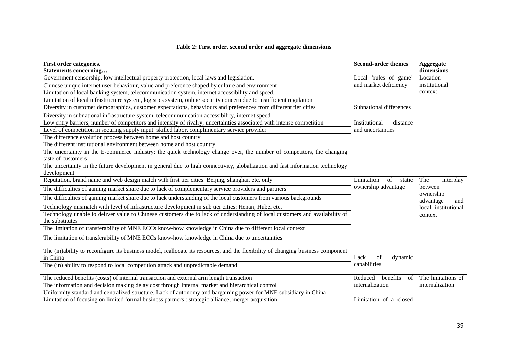## **Table 2: First order, second order and aggregate dimensions**

| First order categories.<br>Statements concerning                                                                                               | <b>Second-order themes</b>       | Aggregate<br>dimensions                                         |
|------------------------------------------------------------------------------------------------------------------------------------------------|----------------------------------|-----------------------------------------------------------------|
| Government censorship, low intellectual property protection, local laws and legislation.                                                       | Local 'rules of game'            | Location                                                        |
| Chinese unique internet user behaviour, value and preference shaped by culture and environment                                                 | and market deficiency            | institutional<br>context                                        |
| Limitation of local banking system, telecommunication system, internet accessibility and speed.                                                |                                  |                                                                 |
| Limitation of local infrastructure system, logistics system, online security concern due to insufficient regulation                            |                                  |                                                                 |
| Diversity in customer demographics, customer expectations, behaviours and preferences from different tier cities                               | Subnational differences          |                                                                 |
| Diversity in subnational infrastructure system, telecommunication accessibility, internet speed                                                |                                  |                                                                 |
| Low entry barriers, number of competitors and intensity of rivalry, uncertainties associated with intense competition                          | Institutional<br>distance        |                                                                 |
| Level of competition in securing supply input: skilled labor, complimentary service provider                                                   | and uncertainties                |                                                                 |
| The difference evolution process between home and host country                                                                                 |                                  |                                                                 |
| The different institutional environment between home and host country                                                                          |                                  |                                                                 |
| The uncertainty in the E-commerce industry: the quick technology change over, the number of competitors, the changing<br>taste of customers    |                                  |                                                                 |
| The uncertainty in the future development in general due to high connectivity, globalization and fast information technology                   |                                  |                                                                 |
| development                                                                                                                                    |                                  |                                                                 |
| Reputation, brand name and web design match with first tier cities: Beijing, shanghai, etc. only                                               | Limitation<br>$\sigma$<br>static | The<br>interplay                                                |
| The difficulties of gaining market share due to lack of complementary service providers and partners                                           | ownership advantage              | between<br>ownership<br>advantage<br>and<br>local institutional |
| The difficulties of gaining market share due to lack understanding of the local customers from various backgrounds                             |                                  |                                                                 |
| Technology mismatch with level of infrastructure development in sub tier cities: Henan, Hubei etc.                                             |                                  |                                                                 |
| Technology unable to deliver value to Chinese customers due to lack of understanding of local customers and availability of<br>the substitutes |                                  | context                                                         |
| The limitation of transferability of MNE ECCs know-how knowledge in China due to different local context                                       |                                  |                                                                 |
| The limitation of transferability of MNE ECCs know-how knowledge in China due to uncertainties                                                 |                                  |                                                                 |
| The (in)ability to reconfigure its business model, reallocate its resources, and the flexibility of changing business component<br>in China    | of<br>Lack<br>dynamic            |                                                                 |
| The (in) ability to respond to local competition attack and unpredictable demand                                                               | capabilities                     |                                                                 |
| The reduced benefits (costs) of internal transaction and external arm length transaction                                                       | Reduced<br>benefits<br>of        | The limitations of                                              |
| The information and decision making delay cost through internal market and hierarchical control                                                | internalization                  | internalization                                                 |
| Uniformity standard and centralized structure. Lack of autonomy and bargaining power for MNE subsidiary in China                               |                                  |                                                                 |
| Limitation of focusing on limited formal business partners : strategic alliance, merger acquisition                                            | Limitation of a closed           |                                                                 |